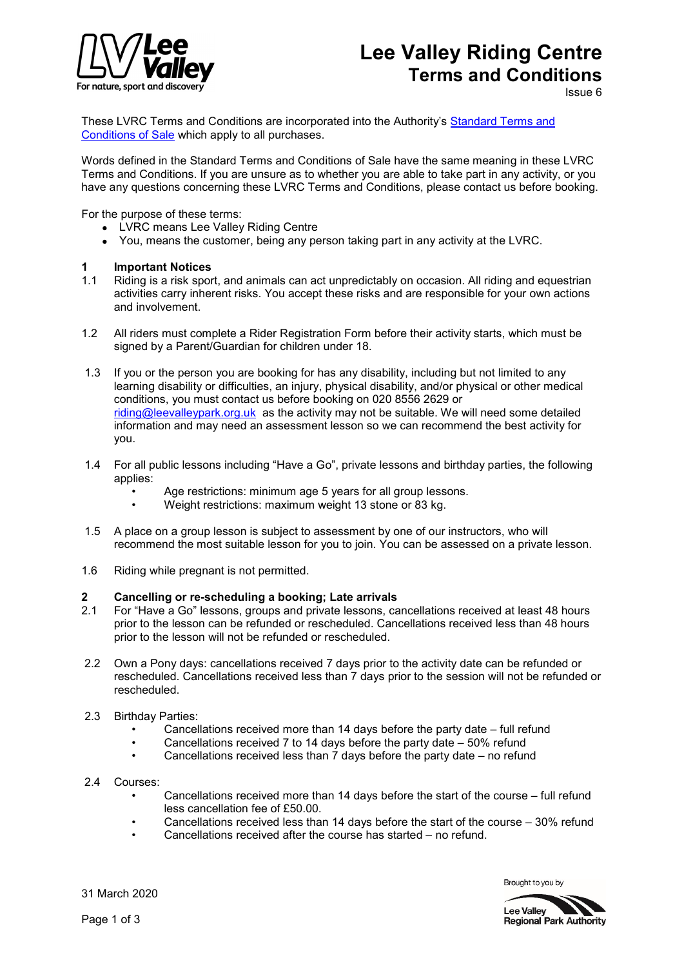

# **Lee Valley Riding Centre Terms and Conditions**

Issue 6

These LVRC Terms and Conditions are incorporated into the Authority's [Standard Terms and](https://www.visitleevalley.org.uk/en/content/cms/help/standard-tcs-of-sale/)  [Conditions of Sale](https://www.visitleevalley.org.uk/en/content/cms/help/standard-tcs-of-sale/) which apply to all purchases.

Words defined in the Standard Terms and Conditions of Sale have the same meaning in these LVRC Terms and Conditions. If you are unsure as to whether you are able to take part in any activity, or you have any questions concerning these LVRC Terms and Conditions, please contact us before booking.

For the purpose of these terms:

- LVRC means Lee Valley Riding Centre
- You, means the customer, being any person taking part in any activity at the LVRC.

#### **1 Important Notices**

- 1.1 Riding is a risk sport, and animals can act unpredictably on occasion. All riding and equestrian activities carry inherent risks. You accept these risks and are responsible for your own actions and involvement.
- 1.2 All riders must complete a Rider Registration Form before their activity starts, which must be signed by a Parent/Guardian for children under 18.
- 1.3 If you or the person you are booking for has any disability, including but not limited to any learning disability or difficulties, an injury, physical disability, and/or physical or other medical conditions, you must contact us before booking on 020 8556 2629 or [riding@leevalleypark.org.uk](mailto:riding@leevalleypark.org.uk) as the activity may not be suitable. We will need some detailed information and may need an assessment lesson so we can recommend the best activity for you.
- 1.4 For all public lessons including "Have a Go", private lessons and birthday parties, the following applies:
	- Age restrictions: minimum age 5 years for all group lessons.
	- Weight restrictions: maximum weight 13 stone or 83 kg.
- 1.5 A place on a group lesson is subject to assessment by one of our instructors, who will recommend the most suitable lesson for you to join. You can be assessed on a private lesson.
- 1.6 Riding while pregnant is not permitted.

# **2 Cancelling or re-scheduling a booking; Late arrivals**<br>2.1 For "Have a Go" lessons, groups and private lessons, ca

- 2.1 For "Have a Go" lessons, groups and private lessons, cancellations received at least 48 hours prior to the lesson can be refunded or rescheduled. Cancellations received less than 48 hours prior to the lesson will not be refunded or rescheduled.
- 2.2 Own a Pony days: cancellations received 7 days prior to the activity date can be refunded or rescheduled. Cancellations received less than 7 days prior to the session will not be refunded or rescheduled.
- 2.3 Birthday Parties:
	- Cancellations received more than 14 days before the party date full refund
	- Cancellations received 7 to 14 days before the party date  $-50\%$  refund
	- Cancellations received less than 7 days before the party date no refund
- 2.4 Courses:
	- Cancellations received more than 14 days before the start of the course full refund less cancellation fee of £50.00.
	- Cancellations received less than 14 days before the start of the course  $-30%$  refund
	- Cancellations received after the course has started no refund.

31 March 2020

Brought to you by

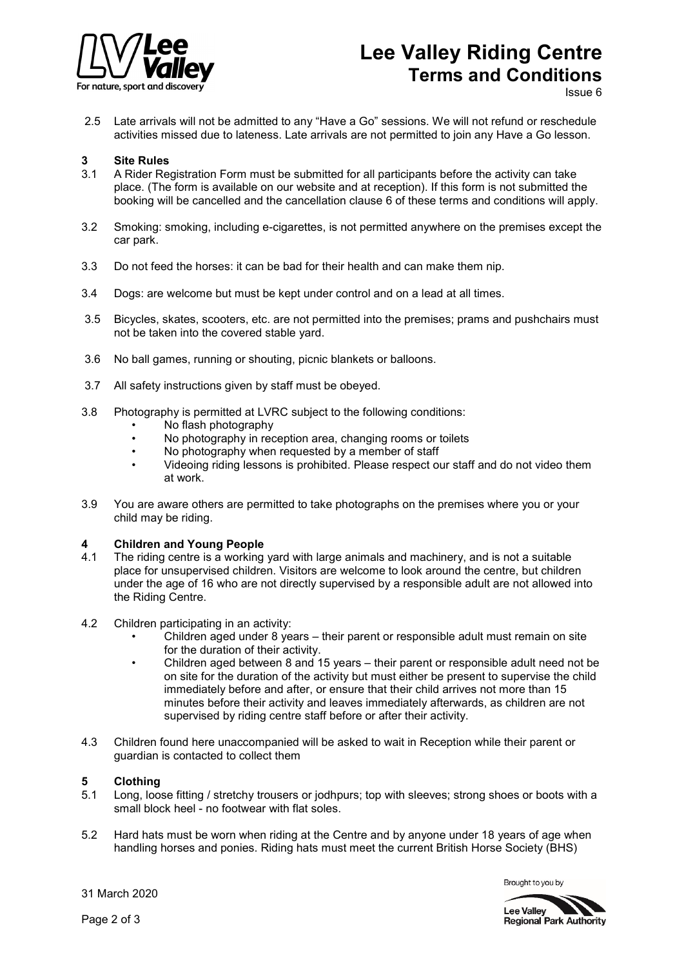

# **Lee Valley Riding Centre Terms and Conditions**

Issue 6

2.5 Late arrivals will not be admitted to any "Have a Go" sessions. We will not refund or reschedule activities missed due to lateness. Late arrivals are not permitted to join any Have a Go lesson.

# **3** Site Rules<br>3.1 A Rider Rea

- 3.1 A Rider Registration Form must be submitted for all participants before the activity can take place. (The form is available on our website and at reception). If this form is not submitted the booking will be cancelled and the cancellation clause 6 of these terms and conditions will apply.
- 3.2 Smoking: smoking, including e-cigarettes, is not permitted anywhere on the premises except the car park.
- 3.3 Do not feed the horses: it can be bad for their health and can make them nip.
- 3.4 Dogs: are welcome but must be kept under control and on a lead at all times.
- 3.5 Bicycles, skates, scooters, etc. are not permitted into the premises; prams and pushchairs must not be taken into the covered stable yard.
- 3.6 No ball games, running or shouting, picnic blankets or balloons.
- 3.7 All safety instructions given by staff must be obeyed.
- 3.8 Photography is permitted at LVRC subject to the following conditions:
	- No flash photography
	- No photography in reception area, changing rooms or toilets<br>• No photography when requested by a member of staff
	- No photography when requested by a member of staff
	- Videoing riding lessons is prohibited. Please respect our staff and do not video them at work.
- 3.9 You are aware others are permitted to take photographs on the premises where you or your child may be riding.

#### **4 Children and Young People**

- 4.1 The riding centre is a working yard with large animals and machinery, and is not a suitable place for unsupervised children. Visitors are welcome to look around the centre, but children under the age of 16 who are not directly supervised by a responsible adult are not allowed into the Riding Centre.
- 4.2 Children participating in an activity:
	- Children aged under 8 years their parent or responsible adult must remain on site for the duration of their activity.
	- Children aged between 8 and 15 years their parent or responsible adult need not be on site for the duration of the activity but must either be present to supervise the child immediately before and after, or ensure that their child arrives not more than 15 minutes before their activity and leaves immediately afterwards, as children are not supervised by riding centre staff before or after their activity.
- 4.3 Children found here unaccompanied will be asked to wait in Reception while their parent or guardian is contacted to collect them

#### **5 Clothing**

- 5.1 Long, loose fitting / stretchy trousers or jodhpurs; top with sleeves; strong shoes or boots with a small block heel - no footwear with flat soles.
- 5.2 Hard hats must be worn when riding at the Centre and by anyone under 18 years of age when handling horses and ponies. Riding hats must meet the current British Horse Society (BHS)

Brought to you by



31 March 2020

Page 2 of 3